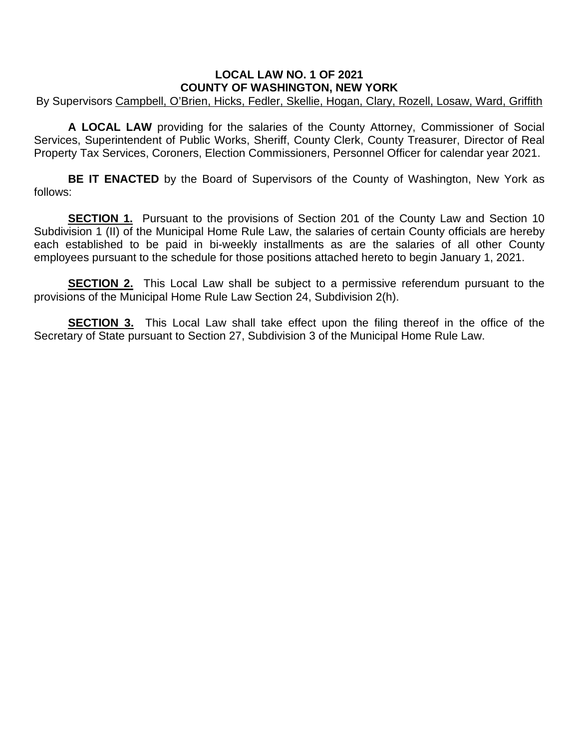## **LOCAL LAW NO. 1 OF 2021 COUNTY OF WASHINGTON, NEW YORK**

By Supervisors Campbell, O'Brien, Hicks, Fedler, Skellie, Hogan, Clary, Rozell, Losaw, Ward, Griffith

**A LOCAL LAW** providing for the salaries of the County Attorney, Commissioner of Social Services, Superintendent of Public Works, Sheriff, County Clerk, County Treasurer, Director of Real Property Tax Services, Coroners, Election Commissioners, Personnel Officer for calendar year 2021.

**BE IT ENACTED** by the Board of Supervisors of the County of Washington, New York as follows:

**SECTION 1.** Pursuant to the provisions of Section 201 of the County Law and Section 10 Subdivision 1 (II) of the Municipal Home Rule Law, the salaries of certain County officials are hereby each established to be paid in bi-weekly installments as are the salaries of all other County employees pursuant to the schedule for those positions attached hereto to begin January 1, 2021.

**SECTION 2.** This Local Law shall be subject to a permissive referendum pursuant to the provisions of the Municipal Home Rule Law Section 24, Subdivision 2(h).

**SECTION 3.** This Local Law shall take effect upon the filing thereof in the office of the Secretary of State pursuant to Section 27, Subdivision 3 of the Municipal Home Rule Law.